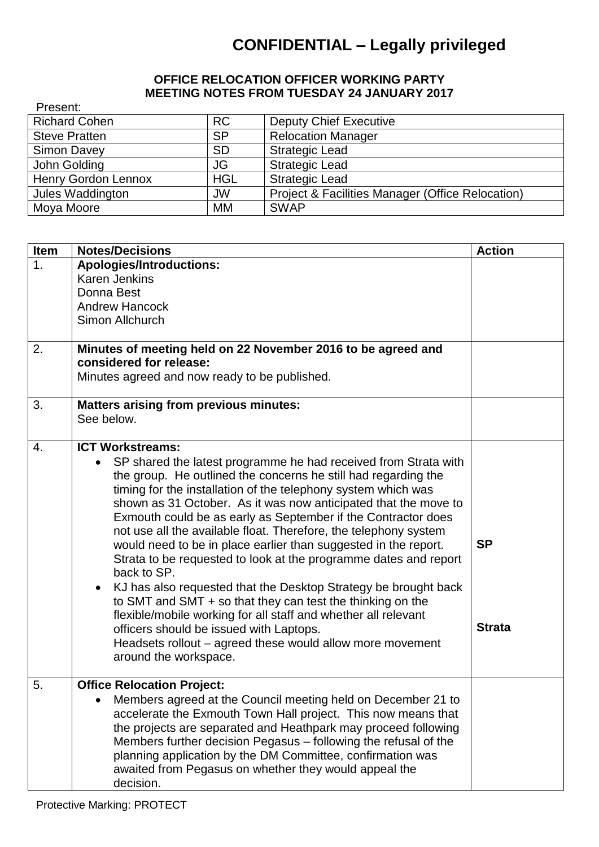## **CONFIDENTIAL – Legally privileged**

## **OFFICE RELOCATION OFFICER WORKING PARTY MEETING NOTES FROM TUESDAY 24 JANUARY 2017**

| Present:                   |            |                                                             |
|----------------------------|------------|-------------------------------------------------------------|
| <b>Richard Cohen</b>       | <b>RC</b>  | <b>Deputy Chief Executive</b>                               |
| <b>Steve Pratten</b>       | <b>SP</b>  | <b>Relocation Manager</b>                                   |
| Simon Davey                | <b>SD</b>  | <b>Strategic Lead</b>                                       |
| John Golding               | JG         | <b>Strategic Lead</b>                                       |
| <b>Henry Gordon Lennox</b> | <b>HGL</b> | <b>Strategic Lead</b>                                       |
| Jules Waddington           | <b>JW</b>  | <b>Project &amp; Facilities Manager (Office Relocation)</b> |
| Moya Moore                 | MМ         | <b>SWAP</b>                                                 |

| Item | <b>Notes/Decisions</b>                                                                                                                                                                                                                                                                                                                                                                                                                                                                                                                                                                                                                                                                                                                                                                                                                                                                                                                       | <b>Action</b>              |
|------|----------------------------------------------------------------------------------------------------------------------------------------------------------------------------------------------------------------------------------------------------------------------------------------------------------------------------------------------------------------------------------------------------------------------------------------------------------------------------------------------------------------------------------------------------------------------------------------------------------------------------------------------------------------------------------------------------------------------------------------------------------------------------------------------------------------------------------------------------------------------------------------------------------------------------------------------|----------------------------|
| 1.   | <b>Apologies/Introductions:</b><br><b>Karen Jenkins</b><br>Donna Best<br><b>Andrew Hancock</b><br>Simon Allchurch                                                                                                                                                                                                                                                                                                                                                                                                                                                                                                                                                                                                                                                                                                                                                                                                                            |                            |
| 2.   | Minutes of meeting held on 22 November 2016 to be agreed and<br>considered for release:<br>Minutes agreed and now ready to be published.                                                                                                                                                                                                                                                                                                                                                                                                                                                                                                                                                                                                                                                                                                                                                                                                     |                            |
| 3.   | <b>Matters arising from previous minutes:</b><br>See below.                                                                                                                                                                                                                                                                                                                                                                                                                                                                                                                                                                                                                                                                                                                                                                                                                                                                                  |                            |
| 4.   | <b>ICT Workstreams:</b><br>SP shared the latest programme he had received from Strata with<br>the group. He outlined the concerns he still had regarding the<br>timing for the installation of the telephony system which was<br>shown as 31 October. As it was now anticipated that the move to<br>Exmouth could be as early as September if the Contractor does<br>not use all the available float. Therefore, the telephony system<br>would need to be in place earlier than suggested in the report.<br>Strata to be requested to look at the programme dates and report<br>back to SP.<br>KJ has also requested that the Desktop Strategy be brought back<br>$\bullet$<br>to SMT and SMT + so that they can test the thinking on the<br>flexible/mobile working for all staff and whether all relevant<br>officers should be issued with Laptops.<br>Headsets rollout - agreed these would allow more movement<br>around the workspace. | <b>SP</b><br><b>Strata</b> |
| 5.   | <b>Office Relocation Project:</b><br>Members agreed at the Council meeting held on December 21 to<br>accelerate the Exmouth Town Hall project. This now means that<br>the projects are separated and Heathpark may proceed following<br>Members further decision Pegasus – following the refusal of the<br>planning application by the DM Committee, confirmation was<br>awaited from Pegasus on whether they would appeal the<br>decision.                                                                                                                                                                                                                                                                                                                                                                                                                                                                                                  |                            |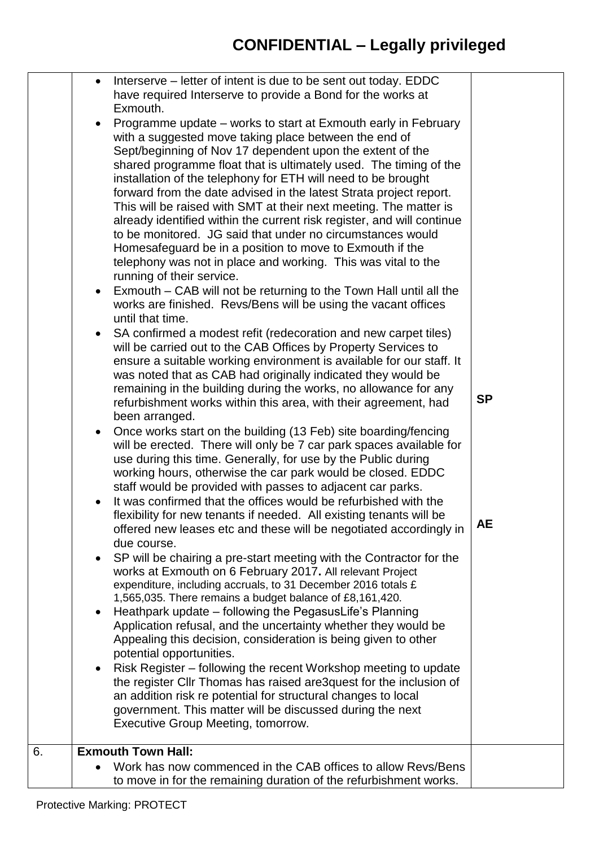|    |           | Interserve – letter of intent is due to be sent out today. EDDC<br>have required Interserve to provide a Bond for the works at<br>Exmouth.<br>Programme update – works to start at Exmouth early in February<br>with a suggested move taking place between the end of<br>Sept/beginning of Nov 17 dependent upon the extent of the<br>shared programme float that is ultimately used. The timing of the<br>installation of the telephony for ETH will need to be brought<br>forward from the date advised in the latest Strata project report.<br>This will be raised with SMT at their next meeting. The matter is<br>already identified within the current risk register, and will continue |           |
|----|-----------|-----------------------------------------------------------------------------------------------------------------------------------------------------------------------------------------------------------------------------------------------------------------------------------------------------------------------------------------------------------------------------------------------------------------------------------------------------------------------------------------------------------------------------------------------------------------------------------------------------------------------------------------------------------------------------------------------|-----------|
|    |           | to be monitored. JG said that under no circumstances would<br>Homesafeguard be in a position to move to Exmouth if the<br>telephony was not in place and working. This was vital to the<br>running of their service.<br>Exmouth – CAB will not be returning to the Town Hall until all the<br>works are finished. Revs/Bens will be using the vacant offices                                                                                                                                                                                                                                                                                                                                  |           |
|    |           | until that time.<br>SA confirmed a modest refit (redecoration and new carpet tiles)<br>will be carried out to the CAB Offices by Property Services to<br>ensure a suitable working environment is available for our staff. It<br>was noted that as CAB had originally indicated they would be<br>remaining in the building during the works, no allowance for any<br>refurbishment works within this area, with their agreement, had<br>been arranged.                                                                                                                                                                                                                                        | <b>SP</b> |
|    |           | Once works start on the building (13 Feb) site boarding/fencing<br>will be erected. There will only be 7 car park spaces available for<br>use during this time. Generally, for use by the Public during<br>working hours, otherwise the car park would be closed. EDDC<br>staff would be provided with passes to adjacent car parks.                                                                                                                                                                                                                                                                                                                                                          |           |
|    |           | It was confirmed that the offices would be refurbished with the<br>flexibility for new tenants if needed. All existing tenants will be<br>offered new leases etc and these will be negotiated accordingly in<br>due course.                                                                                                                                                                                                                                                                                                                                                                                                                                                                   | AЕ        |
|    |           | SP will be chairing a pre-start meeting with the Contractor for the<br>works at Exmouth on 6 February 2017. All relevant Project<br>expenditure, including accruals, to 31 December 2016 totals £<br>1,565,035. There remains a budget balance of £8,161,420.                                                                                                                                                                                                                                                                                                                                                                                                                                 |           |
|    | $\bullet$ | Heathpark update - following the PegasusLife's Planning<br>Application refusal, and the uncertainty whether they would be<br>Appealing this decision, consideration is being given to other<br>potential opportunities.                                                                                                                                                                                                                                                                                                                                                                                                                                                                       |           |
|    |           | Risk Register – following the recent Workshop meeting to update<br>the register CIIr Thomas has raised are3quest for the inclusion of<br>an addition risk re potential for structural changes to local<br>government. This matter will be discussed during the next<br>Executive Group Meeting, tomorrow.                                                                                                                                                                                                                                                                                                                                                                                     |           |
| 6. |           | <b>Exmouth Town Hall:</b>                                                                                                                                                                                                                                                                                                                                                                                                                                                                                                                                                                                                                                                                     |           |
|    |           | Work has now commenced in the CAB offices to allow Revs/Bens<br>to move in for the remaining duration of the refurbishment works.                                                                                                                                                                                                                                                                                                                                                                                                                                                                                                                                                             |           |
|    |           |                                                                                                                                                                                                                                                                                                                                                                                                                                                                                                                                                                                                                                                                                               |           |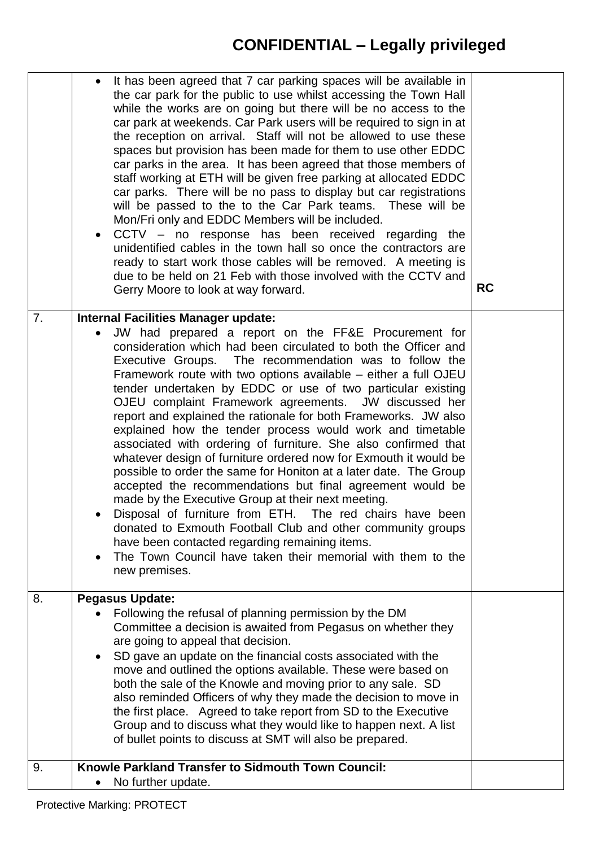## **CONFIDENTIAL – Legally privileged**

|    | $\bullet$ | It has been agreed that 7 car parking spaces will be available in<br>the car park for the public to use whilst accessing the Town Hall<br>while the works are on going but there will be no access to the<br>car park at weekends. Car Park users will be required to sign in at<br>the reception on arrival. Staff will not be allowed to use these<br>spaces but provision has been made for them to use other EDDC<br>car parks in the area. It has been agreed that those members of<br>staff working at ETH will be given free parking at allocated EDDC<br>car parks. There will be no pass to display but car registrations<br>will be passed to the to the Car Park teams. These will be<br>Mon/Fri only and EDDC Members will be included.<br>CCTV – no response has been received regarding the<br>unidentified cables in the town hall so once the contractors are<br>ready to start work those cables will be removed. A meeting is<br>due to be held on 21 Feb with those involved with the CCTV and<br>Gerry Moore to look at way forward.                                                | <b>RC</b> |
|----|-----------|---------------------------------------------------------------------------------------------------------------------------------------------------------------------------------------------------------------------------------------------------------------------------------------------------------------------------------------------------------------------------------------------------------------------------------------------------------------------------------------------------------------------------------------------------------------------------------------------------------------------------------------------------------------------------------------------------------------------------------------------------------------------------------------------------------------------------------------------------------------------------------------------------------------------------------------------------------------------------------------------------------------------------------------------------------------------------------------------------------|-----------|
| 7. |           | <b>Internal Facilities Manager update:</b>                                                                                                                                                                                                                                                                                                                                                                                                                                                                                                                                                                                                                                                                                                                                                                                                                                                                                                                                                                                                                                                              |           |
|    |           | JW had prepared a report on the FF&E Procurement for<br>consideration which had been circulated to both the Officer and<br>Executive Groups. The recommendation was to follow the<br>Framework route with two options available – either a full OJEU<br>tender undertaken by EDDC or use of two particular existing<br>OJEU complaint Framework agreements. JW discussed her<br>report and explained the rationale for both Frameworks. JW also<br>explained how the tender process would work and timetable<br>associated with ordering of furniture. She also confirmed that<br>whatever design of furniture ordered now for Exmouth it would be<br>possible to order the same for Honiton at a later date. The Group<br>accepted the recommendations but final agreement would be<br>made by the Executive Group at their next meeting.<br>Disposal of furniture from ETH. The red chairs have been<br>donated to Exmouth Football Club and other community groups<br>have been contacted regarding remaining items.<br>The Town Council have taken their memorial with them to the<br>new premises. |           |
| 8. |           | <b>Pegasus Update:</b>                                                                                                                                                                                                                                                                                                                                                                                                                                                                                                                                                                                                                                                                                                                                                                                                                                                                                                                                                                                                                                                                                  |           |
| 9. | $\bullet$ | Following the refusal of planning permission by the DM<br>Committee a decision is awaited from Pegasus on whether they<br>are going to appeal that decision.<br>SD gave an update on the financial costs associated with the<br>move and outlined the options available. These were based on<br>both the sale of the Knowle and moving prior to any sale. SD<br>also reminded Officers of why they made the decision to move in<br>the first place. Agreed to take report from SD to the Executive<br>Group and to discuss what they would like to happen next. A list<br>of bullet points to discuss at SMT will also be prepared.<br>Knowle Parkland Transfer to Sidmouth Town Council:                                                                                                                                                                                                                                                                                                                                                                                                               |           |
|    |           | No further update.                                                                                                                                                                                                                                                                                                                                                                                                                                                                                                                                                                                                                                                                                                                                                                                                                                                                                                                                                                                                                                                                                      |           |
|    |           |                                                                                                                                                                                                                                                                                                                                                                                                                                                                                                                                                                                                                                                                                                                                                                                                                                                                                                                                                                                                                                                                                                         |           |